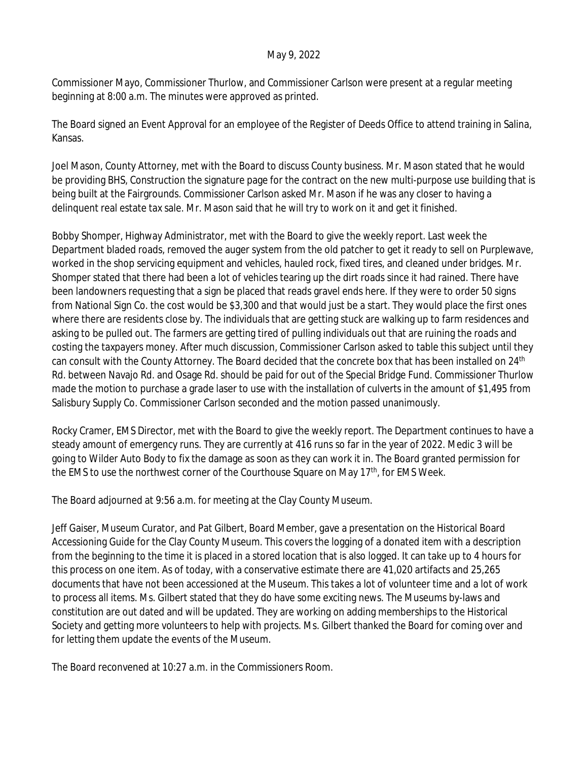## May 9, 2022

Commissioner Mayo, Commissioner Thurlow, and Commissioner Carlson were present at a regular meeting beginning at 8:00 a.m. The minutes were approved as printed.

The Board signed an Event Approval for an employee of the Register of Deeds Office to attend training in Salina, Kansas.

Joel Mason, County Attorney, met with the Board to discuss County business. Mr. Mason stated that he would be providing BHS, Construction the signature page for the contract on the new multi-purpose use building that is being built at the Fairgrounds. Commissioner Carlson asked Mr. Mason if he was any closer to having a delinquent real estate tax sale. Mr. Mason said that he will try to work on it and get it finished.

Bobby Shomper, Highway Administrator, met with the Board to give the weekly report. Last week the Department bladed roads, removed the auger system from the old patcher to get it ready to sell on Purplewave, worked in the shop servicing equipment and vehicles, hauled rock, fixed tires, and cleaned under bridges. Mr. Shomper stated that there had been a lot of vehicles tearing up the dirt roads since it had rained. There have been landowners requesting that a sign be placed that reads gravel ends here. If they were to order 50 signs from National Sign Co. the cost would be \$3,300 and that would just be a start. They would place the first ones where there are residents close by. The individuals that are getting stuck are walking up to farm residences and asking to be pulled out. The farmers are getting tired of pulling individuals out that are ruining the roads and costing the taxpayers money. After much discussion, Commissioner Carlson asked to table this subject until they can consult with the County Attorney. The Board decided that the concrete box that has been installed on 24th Rd. between Navajo Rd. and Osage Rd. should be paid for out of the Special Bridge Fund. Commissioner Thurlow made the motion to purchase a grade laser to use with the installation of culverts in the amount of \$1,495 from Salisbury Supply Co. Commissioner Carlson seconded and the motion passed unanimously.

Rocky Cramer, EMS Director, met with the Board to give the weekly report. The Department continues to have a steady amount of emergency runs. They are currently at 416 runs so far in the year of 2022. Medic 3 will be going to Wilder Auto Body to fix the damage as soon as they can work it in. The Board granted permission for the EMS to use the northwest corner of the Courthouse Square on May 17<sup>th</sup>, for EMS Week.

The Board adjourned at 9:56 a.m. for meeting at the Clay County Museum.

Jeff Gaiser, Museum Curator, and Pat Gilbert, Board Member, gave a presentation on the Historical Board Accessioning Guide for the Clay County Museum. This covers the logging of a donated item with a description from the beginning to the time it is placed in a stored location that is also logged. It can take up to 4 hours for this process on one item. As of today, with a conservative estimate there are 41,020 artifacts and 25,265 documents that have not been accessioned at the Museum. This takes a lot of volunteer time and a lot of work to process all items. Ms. Gilbert stated that they do have some exciting news. The Museums by-laws and constitution are out dated and will be updated. They are working on adding memberships to the Historical Society and getting more volunteers to help with projects. Ms. Gilbert thanked the Board for coming over and for letting them update the events of the Museum.

The Board reconvened at 10:27 a.m. in the Commissioners Room.